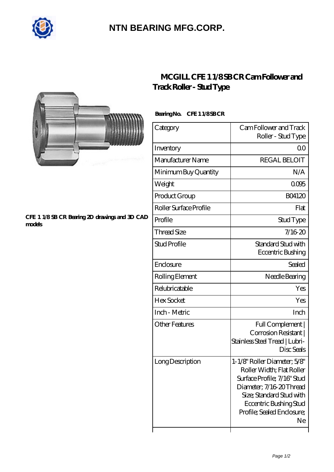

## **[NTN BEARING MFG.CORP.](https://m.2norma.de)**



## **[CFE 1 1/8 SB CR Bearing 2D drawings and 3D CAD](https://m.2norma.de/pic-249523.html) [models](https://m.2norma.de/pic-249523.html)**

## **[MCGILL CFE 1 1/8 SB CR Cam Follower and](https://m.2norma.de/aI-249523-mcgill-cfe-1-1-8-sb-cr-cam-follower-and-track-roller-stud-type.html) [Track Roller - Stud Type](https://m.2norma.de/aI-249523-mcgill-cfe-1-1-8-sb-cr-cam-follower-and-track-roller-stud-type.html)**

Bearing No. CFE 1 1/8SB CR

| Category               | Cam Follower and Track<br>Roller - Stud Type                                                                                                                                                                   |
|------------------------|----------------------------------------------------------------------------------------------------------------------------------------------------------------------------------------------------------------|
| Inventory              | 0 <sup>0</sup>                                                                                                                                                                                                 |
| Manufacturer Name      | <b>REGAL BELOIT</b>                                                                                                                                                                                            |
| Minimum Buy Quantity   | N/A                                                                                                                                                                                                            |
| Weight                 | 0005                                                                                                                                                                                                           |
| Product Group          | <b>BO4120</b>                                                                                                                                                                                                  |
| Roller Surface Profile | Flat                                                                                                                                                                                                           |
| Profile                | Stud Type                                                                                                                                                                                                      |
| <b>Thread Size</b>     | 7/1620                                                                                                                                                                                                         |
| <b>Stud Profile</b>    | Standard Stud with<br>Eccentric Bushing                                                                                                                                                                        |
| Enclosure              | Sealed                                                                                                                                                                                                         |
| Rolling Element        | Needle Bearing                                                                                                                                                                                                 |
| Relubricatable         | Yes                                                                                                                                                                                                            |
| Hex Socket             | Yes                                                                                                                                                                                                            |
| Inch - Metric          | Inch                                                                                                                                                                                                           |
| <b>Other Features</b>  | Full Complement  <br>Corrosion Resistant<br>Stainless Steel Tread   Lubri-<br>Disc Seals                                                                                                                       |
| Long Description       | 1-1/8" Roller Diameter; 5/8"<br>Roller Width; Flat Roller<br>Surface Profile; 7/16" Stud<br>Diameter, 7/16 20 Thread<br>Size; Standard Stud with<br>Eccentric Bushing Stud<br>Profile; Sealed Enclosure;<br>Ne |